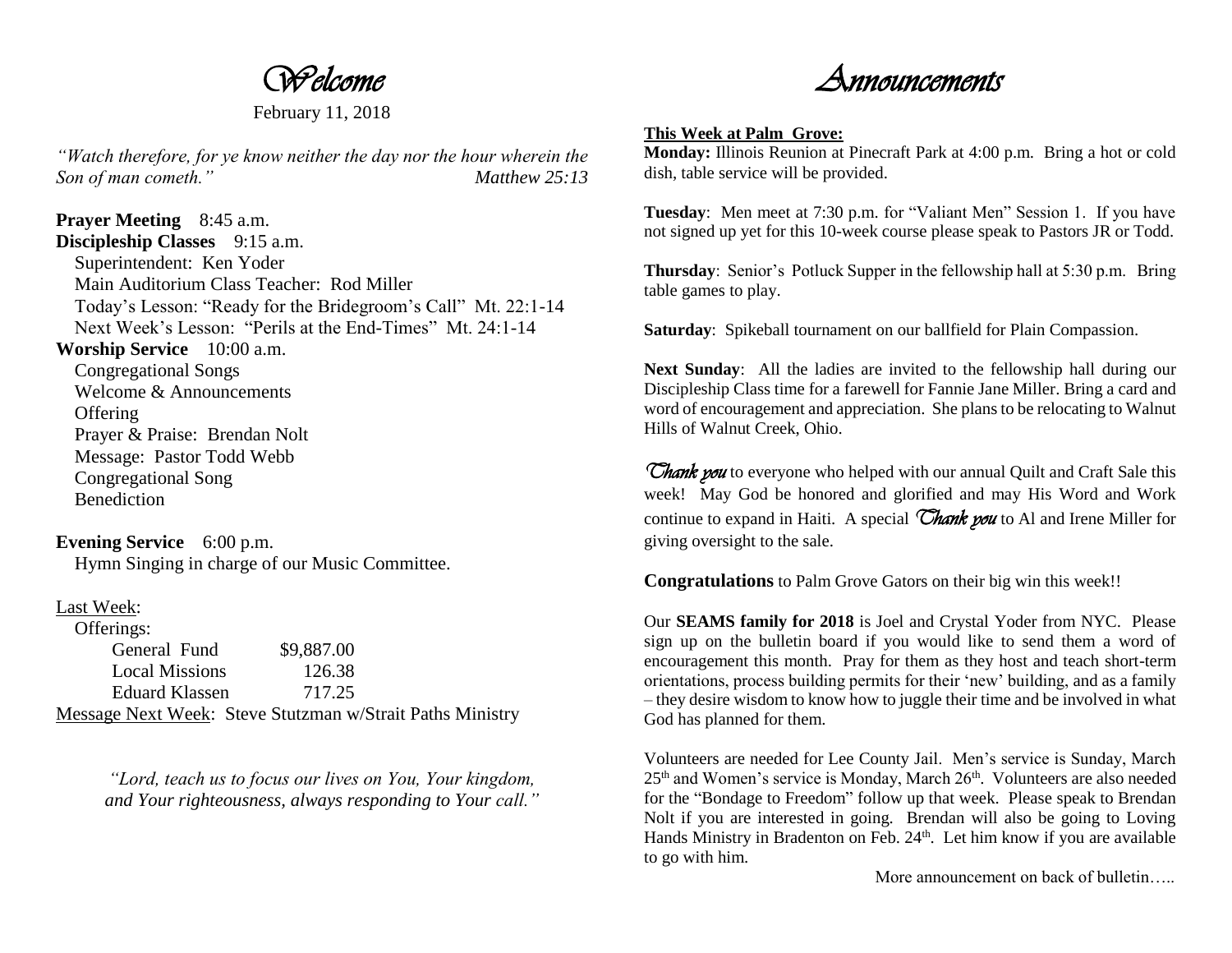*Welcome* 

February 11, 2018

*"Watch therefore, for ye know neither the day nor the hour wherein the Son of man cometh." Matthew 25:13*

**Prayer Meeting** 8:45 a.m. **Discipleship Classes** 9:15 a.m. Superintendent: Ken Yoder Main Auditorium Class Teacher: Rod Miller Today's Lesson: "Ready for the Bridegroom's Call" Mt. 22:1-14 Next Week's Lesson: "Perils at the End-Times" Mt. 24:1-14 **Worship Service** 10:00 a.m.

 Congregational Songs Welcome & Announcements **Offering**  Prayer & Praise: Brendan Nolt Message: Pastor Todd Webb Congregational Song **Benediction** 

**Evening Service** 6:00 p.m. Hymn Singing in charge of our Music Committee.

## Last Week:

| Offerings:            |                                                           |  |
|-----------------------|-----------------------------------------------------------|--|
| General Fund          | \$9,887.00                                                |  |
| <b>Local Missions</b> | 126.38                                                    |  |
| Eduard Klassen        | 717.25                                                    |  |
|                       | Message Next Week: Steve Stutzman w/Strait Paths Ministry |  |

*"Lord, teach us to focus our lives on You, Your kingdom, and Your righteousness, always responding to Your call."*

*Announcements* 

## **This Week at Palm Grove:**

**Monday:** Illinois Reunion at Pinecraft Park at 4:00 p.m. Bring a hot or cold dish, table service will be provided.

**Tuesday**: Men meet at 7:30 p.m. for "Valiant Men" Session 1. If you have not signed up yet for this 10-week course please speak to Pastors JR or Todd.

**Thursday**: Senior's Potluck Supper in the fellowship hall at 5:30 p.m. Bring table games to play.

**Saturday**: Spikeball tournament on our ballfield for Plain Compassion.

**Next Sunday**: All the ladies are invited to the fellowship hall during our Discipleship Class time for a farewell for Fannie Jane Miller. Bring a card and word of encouragement and appreciation. She plans to be relocating to Walnut Hills of Walnut Creek, Ohio.

*Thank you* to everyone who helped with our annual Quilt and Craft Sale this week! May God be honored and glorified and may His Word and Work continue to expand in Haiti. A special *Thank you* to Al and Irene Miller for giving oversight to the sale.

**Congratulations** to Palm Grove Gators on their big win this week!!

Our **SEAMS family for 2018** is Joel and Crystal Yoder from NYC. Please sign up on the bulletin board if you would like to send them a word of encouragement this month. Pray for them as they host and teach short-term orientations, process building permits for their 'new' building, and as a family – they desire wisdom to know how to juggle their time and be involved in what God has planned for them.

Volunteers are needed for Lee County Jail. Men's service is Sunday, March  $25<sup>th</sup>$  and Women's service is Monday, March  $26<sup>th</sup>$ . Volunteers are also needed for the "Bondage to Freedom" follow up that week. Please speak to Brendan Nolt if you are interested in going. Brendan will also be going to Loving Hands Ministry in Bradenton on Feb.  $24<sup>th</sup>$ . Let him know if you are available to go with him.

More announcement on back of bulletin…..